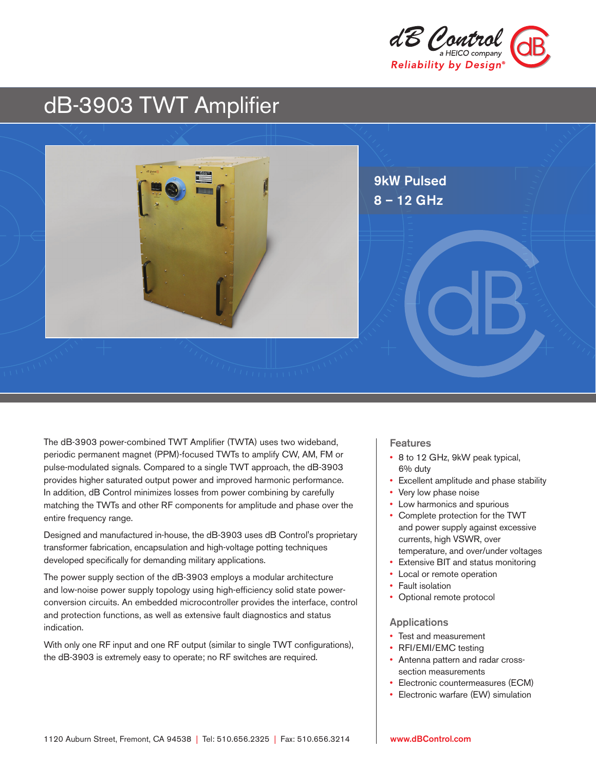

# dB-3903 TWT Amplifier



The dB-3903 power-combined TWT Amplifier (TWTA) uses two wideband, periodic permanent magnet (PPM)-focused TWTs to amplify CW, AM, FM or pulse-modulated signals. Compared to a single TWT approach, the dB-3903 provides higher saturated output power and improved harmonic performance. In addition, dB Control minimizes losses from power combining by carefully matching the TWTs and other RF components for amplitude and phase over the entire frequency range.

Designed and manufactured in-house, the dB-3903 uses dB Control's proprietary transformer fabrication, encapsulation and high-voltage potting techniques developed specifically for demanding military applications.

The power supply section of the dB-3903 employs a modular architecture and low-noise power supply topology using high-efficiency solid state powerconversion circuits. An embedded microcontroller provides the interface, control and protection functions, as well as extensive fault diagnostics and status indication.

With only one RF input and one RF output (similar to single TWT configurations), the dB-3903 is extremely easy to operate; no RF switches are required.

#### Features

- 8 to 12 GHz, 9kW peak typical, 6% duty
- Excellent amplitude and phase stability
- Very low phase noise
- Low harmonics and spurious
- Complete protection for the TWT and power supply against excessive currents, high VSWR, over temperature, and over/under voltages
- Extensive BIT and status monitoring
- Local or remote operation
- Fault isolation
- Optional remote protocol

#### Applications

- Test and measurement
- RFI/EMI/EMC testing
- Antenna pattern and radar crosssection measurements
- Electronic countermeasures (ECM)
- Electronic warfare (EW) simulation